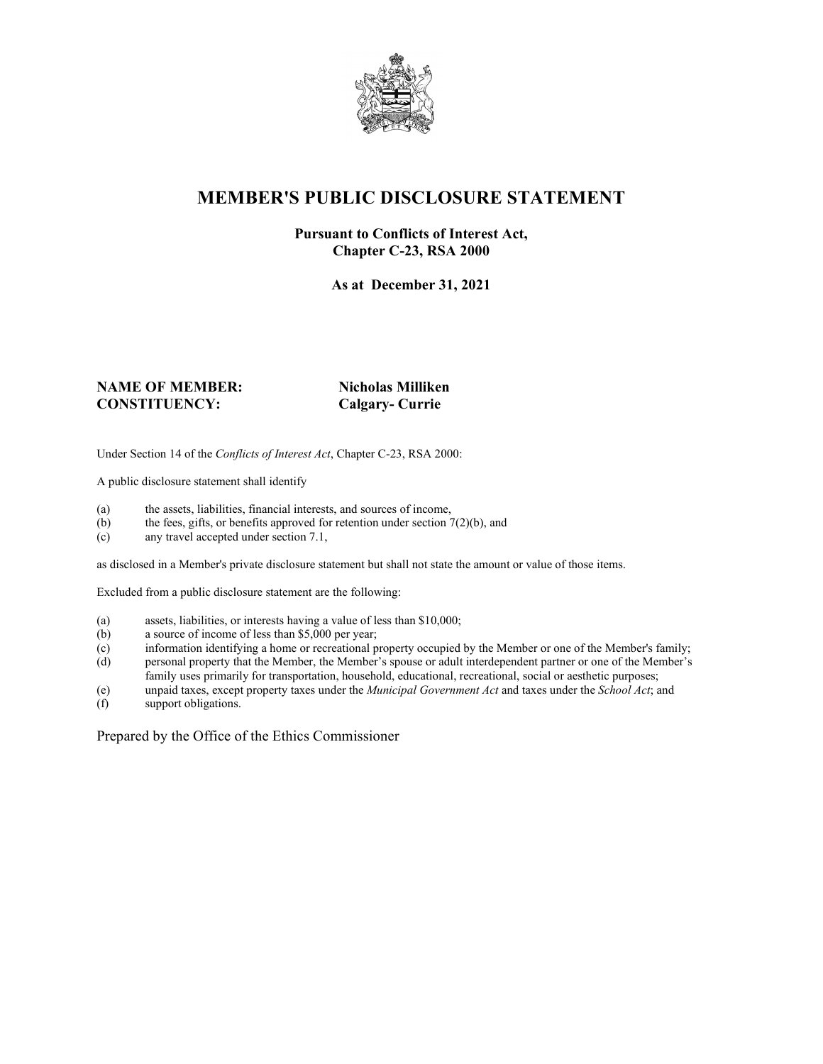

# **MEMBER'S PUBLIC DISCLOSURE STATEMENT**

#### **Pursuant to Conflicts of Interest Act, Chapter C-23, RSA 2000**

**As at December 31, 2021**

#### **NAME OF MEMBER: Nicholas Milliken CONSTITUENCY: Calgary- Currie**

Under Section 14 of the *Conflicts of Interest Act*, Chapter C-23, RSA 2000:

A public disclosure statement shall identify

- (a) the assets, liabilities, financial interests, and sources of income,  $(b)$  the fees, gifts, or benefits approved for retention under section 7
- the fees, gifts, or benefits approved for retention under section  $7(2)(b)$ , and
- (c) any travel accepted under section 7.1,

as disclosed in a Member's private disclosure statement but shall not state the amount or value of those items.

Excluded from a public disclosure statement are the following:

- (a) assets, liabilities, or interests having a value of less than \$10,000;<br>(b) a source of income of less than \$5,000 per year;
- a source of income of less than  $$5,000$  per year;
- (c) information identifying a home or recreational property occupied by the Member or one of the Member's family;
- (d) personal property that the Member, the Member's spouse or adult interdependent partner or one of the Member's family uses primarily for transportation, household, educational, recreational, social or aesthetic purposes;
- (e) unpaid taxes, except property taxes under the *Municipal Government Act* and taxes under the *School Act*; and
- (f) support obligations.

Prepared by the Office of the Ethics Commissioner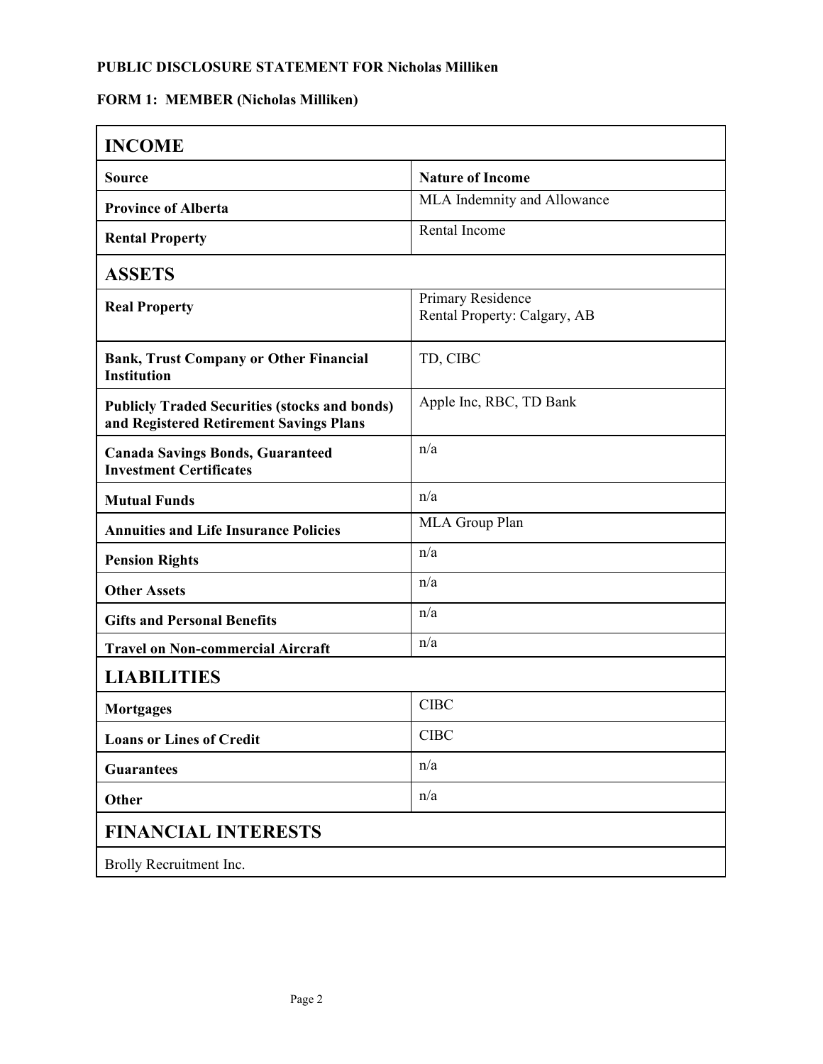## **FORM 1: MEMBER (Nicholas Milliken)**

| <b>INCOME</b>                                                                                   |                                                   |  |
|-------------------------------------------------------------------------------------------------|---------------------------------------------------|--|
| <b>Source</b>                                                                                   | <b>Nature of Income</b>                           |  |
| <b>Province of Alberta</b>                                                                      | MLA Indemnity and Allowance                       |  |
| <b>Rental Property</b>                                                                          | Rental Income                                     |  |
| <b>ASSETS</b>                                                                                   |                                                   |  |
| <b>Real Property</b>                                                                            | Primary Residence<br>Rental Property: Calgary, AB |  |
| <b>Bank, Trust Company or Other Financial</b><br><b>Institution</b>                             | TD, CIBC                                          |  |
| <b>Publicly Traded Securities (stocks and bonds)</b><br>and Registered Retirement Savings Plans | Apple Inc, RBC, TD Bank                           |  |
| <b>Canada Savings Bonds, Guaranteed</b><br><b>Investment Certificates</b>                       | n/a                                               |  |
| <b>Mutual Funds</b>                                                                             | n/a                                               |  |
| <b>Annuities and Life Insurance Policies</b>                                                    | MLA Group Plan                                    |  |
| <b>Pension Rights</b>                                                                           | n/a                                               |  |
| <b>Other Assets</b>                                                                             | n/a                                               |  |
| <b>Gifts and Personal Benefits</b>                                                              | n/a                                               |  |
| <b>Travel on Non-commercial Aircraft</b>                                                        | n/a                                               |  |
| <b>LIABILITIES</b>                                                                              |                                                   |  |
| <b>Mortgages</b>                                                                                | <b>CIBC</b>                                       |  |
| <b>Loans or Lines of Credit</b>                                                                 | <b>CIBC</b>                                       |  |
| <b>Guarantees</b>                                                                               | n/a                                               |  |
| Other                                                                                           | n/a                                               |  |
| <b>FINANCIAL INTERESTS</b>                                                                      |                                                   |  |
| Brolly Recruitment Inc.                                                                         |                                                   |  |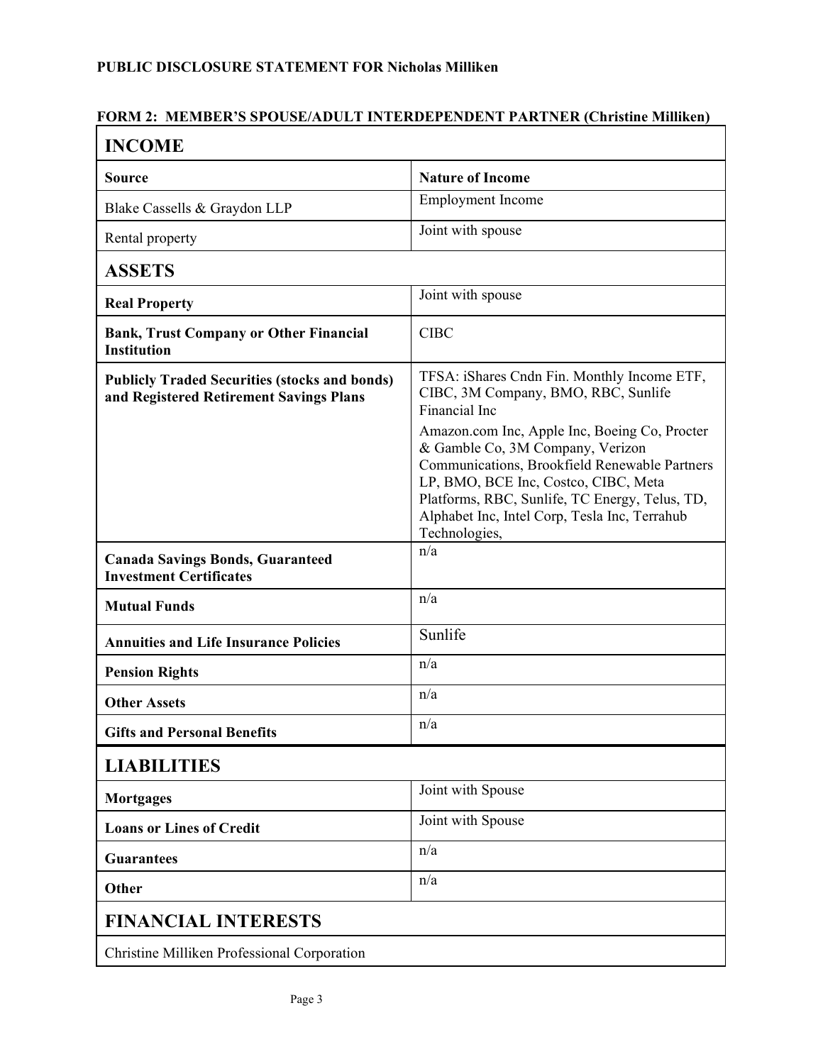## **FORM 2: MEMBER'S SPOUSE/ADULT INTERDEPENDENT PARTNER (Christine Milliken)**

| <b>INCOME</b>                                                                                   |                                                                                                                                                                                                           |  |
|-------------------------------------------------------------------------------------------------|-----------------------------------------------------------------------------------------------------------------------------------------------------------------------------------------------------------|--|
| <b>Source</b>                                                                                   | <b>Nature of Income</b>                                                                                                                                                                                   |  |
| Blake Cassells & Graydon LLP                                                                    | <b>Employment Income</b>                                                                                                                                                                                  |  |
| Rental property                                                                                 | Joint with spouse                                                                                                                                                                                         |  |
| <b>ASSETS</b>                                                                                   |                                                                                                                                                                                                           |  |
| <b>Real Property</b>                                                                            | Joint with spouse                                                                                                                                                                                         |  |
| <b>Bank, Trust Company or Other Financial</b><br><b>Institution</b>                             | <b>CIBC</b>                                                                                                                                                                                               |  |
| <b>Publicly Traded Securities (stocks and bonds)</b><br>and Registered Retirement Savings Plans | TFSA: iShares Cndn Fin. Monthly Income ETF,<br>CIBC, 3M Company, BMO, RBC, Sunlife<br>Financial Inc<br>Amazon.com Inc, Apple Inc, Boeing Co, Procter<br>& Gamble Co, 3M Company, Verizon                  |  |
|                                                                                                 | Communications, Brookfield Renewable Partners<br>LP, BMO, BCE Inc, Costco, CIBC, Meta<br>Platforms, RBC, Sunlife, TC Energy, Telus, TD,<br>Alphabet Inc, Intel Corp, Tesla Inc, Terrahub<br>Technologies, |  |
| <b>Canada Savings Bonds, Guaranteed</b><br><b>Investment Certificates</b>                       | n/a                                                                                                                                                                                                       |  |
| <b>Mutual Funds</b>                                                                             | n/a                                                                                                                                                                                                       |  |
| <b>Annuities and Life Insurance Policies</b>                                                    | Sunlife                                                                                                                                                                                                   |  |
| <b>Pension Rights</b>                                                                           | n/a                                                                                                                                                                                                       |  |
| <b>Other Assets</b>                                                                             | n/a                                                                                                                                                                                                       |  |
| <b>Gifts and Personal Benefits</b>                                                              | n/a                                                                                                                                                                                                       |  |
| <b>LIABILITIES</b>                                                                              |                                                                                                                                                                                                           |  |
| <b>Mortgages</b>                                                                                | Joint with Spouse                                                                                                                                                                                         |  |
| <b>Loans or Lines of Credit</b>                                                                 | Joint with Spouse                                                                                                                                                                                         |  |
| <b>Guarantees</b>                                                                               | n/a                                                                                                                                                                                                       |  |
| Other                                                                                           | n/a                                                                                                                                                                                                       |  |
| <b>FINANCIAL INTERESTS</b>                                                                      |                                                                                                                                                                                                           |  |
| Christine Milliken Professional Corporation                                                     |                                                                                                                                                                                                           |  |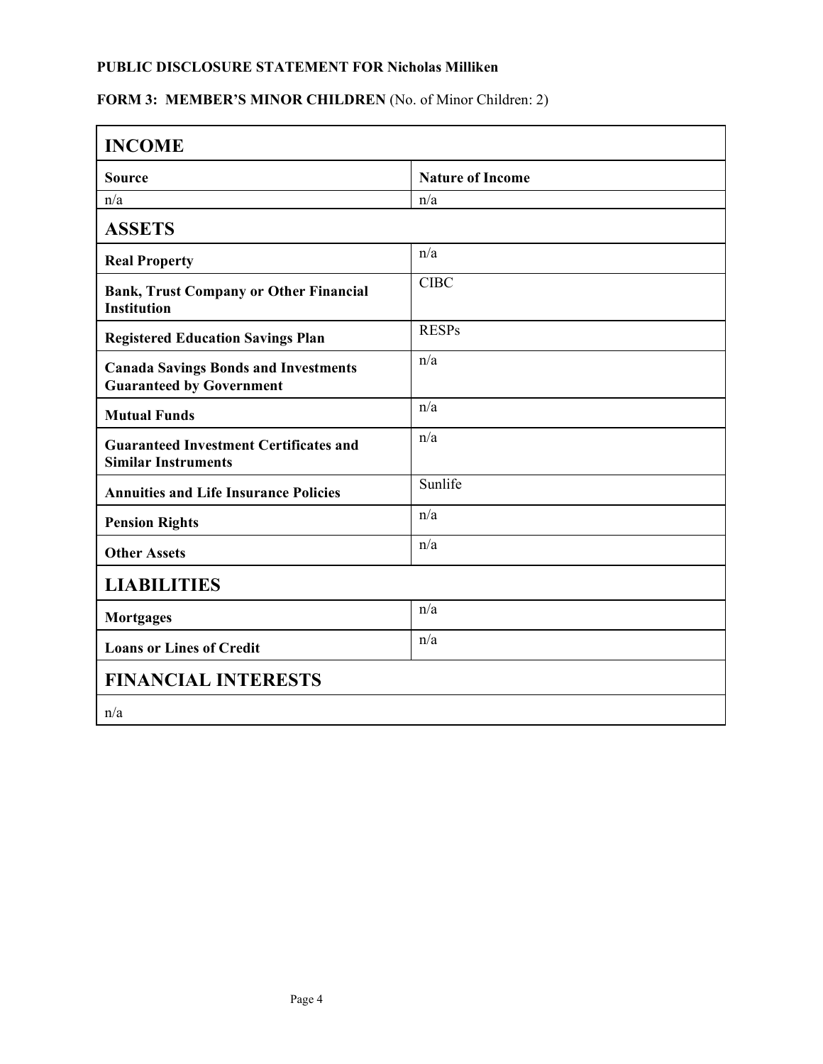## FORM 3: MEMBER'S MINOR CHILDREN (No. of Minor Children: 2)

| <b>INCOME</b>                                                                  |                         |  |
|--------------------------------------------------------------------------------|-------------------------|--|
| <b>Source</b>                                                                  | <b>Nature of Income</b> |  |
| n/a                                                                            | n/a                     |  |
| <b>ASSETS</b>                                                                  |                         |  |
| <b>Real Property</b>                                                           | n/a                     |  |
| <b>Bank, Trust Company or Other Financial</b><br><b>Institution</b>            | <b>CIBC</b>             |  |
| <b>Registered Education Savings Plan</b>                                       | <b>RESPs</b>            |  |
| <b>Canada Savings Bonds and Investments</b><br><b>Guaranteed by Government</b> | n/a                     |  |
| <b>Mutual Funds</b>                                                            | n/a                     |  |
| <b>Guaranteed Investment Certificates and</b><br><b>Similar Instruments</b>    | n/a                     |  |
| <b>Annuities and Life Insurance Policies</b>                                   | Sunlife                 |  |
| <b>Pension Rights</b>                                                          | n/a                     |  |
| <b>Other Assets</b>                                                            | n/a                     |  |
| <b>LIABILITIES</b>                                                             |                         |  |
| <b>Mortgages</b>                                                               | n/a                     |  |
| <b>Loans or Lines of Credit</b>                                                | n/a                     |  |
| <b>FINANCIAL INTERESTS</b>                                                     |                         |  |
| n/a                                                                            |                         |  |